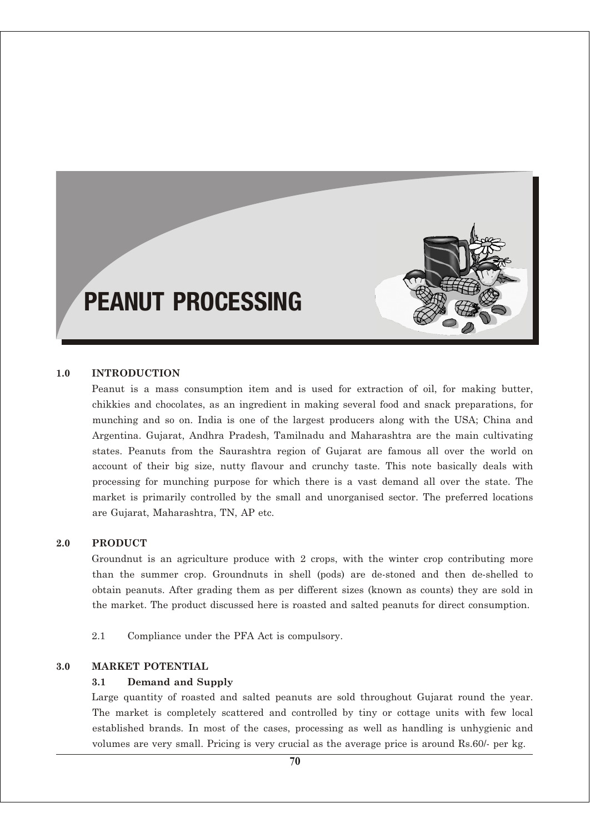# PEANUT PROCESSING

#### **1.0 INTRODUCTION**

Peanut is a mass consumption item and is used for extraction of oil, for making butter, chikkies and chocolates, as an ingredient in making several food and snack preparations, for munching and so on. India is one of the largest producers along with the USA; China and Argentina. Gujarat, Andhra Pradesh, Tamilnadu and Maharashtra are the main cultivating states. Peanuts from the Saurashtra region of Gujarat are famous all over the world on account of their big size, nutty flavour and crunchy taste. This note basically deals with processing for munching purpose for which there is a vast demand all over the state. The market is primarily controlled by the small and unorganised sector. The preferred locations are Gujarat, Maharashtra, TN, AP etc.

#### **2.0 PRODUCT**

Groundnut is an agriculture produce with 2 crops, with the winter crop contributing more than the summer crop. Groundnuts in shell (pods) are de-stoned and then de-shelled to obtain peanuts. After grading them as per different sizes (known as counts) they are sold in the market. The product discussed here is roasted and salted peanuts for direct consumption.

2.1 Compliance under the PFA Act is compulsory.

#### **3.0 MARKET POTENTIAL**

#### **3.1 Demand and Supply**

Large quantity of roasted and salted peanuts are sold throughout Gujarat round the year. The market is completely scattered and controlled by tiny or cottage units with few local established brands. In most of the cases, processing as well as handling is unhygienic and volumes are very small. Pricing is very crucial as the average price is around Rs.60/- per kg.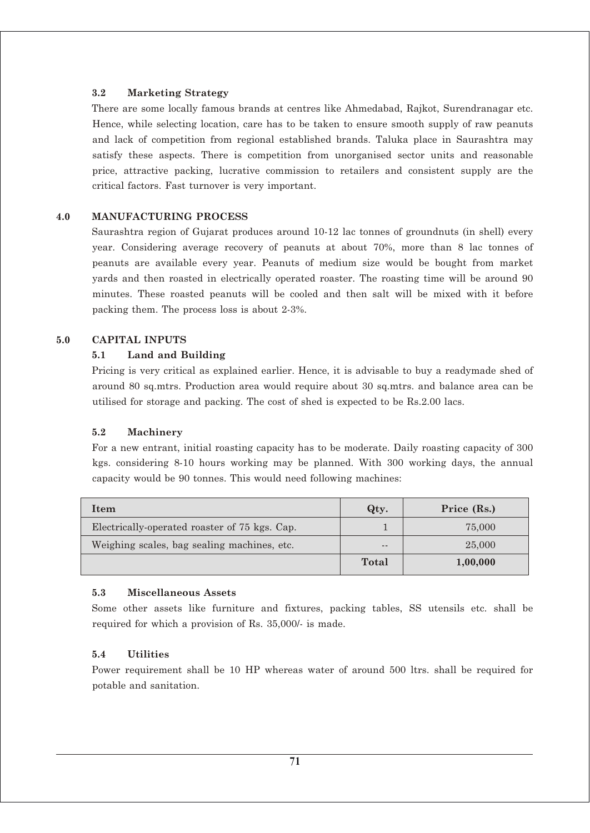## **3.2 Marketing Strategy**

There are some locally famous brands at centres like Ahmedabad, Rajkot, Surendranagar etc. Hence, while selecting location, care has to be taken to ensure smooth supply of raw peanuts and lack of competition from regional established brands. Taluka place in Saurashtra may satisfy these aspects. There is competition from unorganised sector units and reasonable price, attractive packing, lucrative commission to retailers and consistent supply are the critical factors. Fast turnover is very important.

## **4.0 MANUFACTURING PROCESS**

Saurashtra region of Gujarat produces around 10-12 lac tonnes of groundnuts (in shell) every year. Considering average recovery of peanuts at about 70%, more than 8 lac tonnes of peanuts are available every year. Peanuts of medium size would be bought from market yards and then roasted in electrically operated roaster. The roasting time will be around 90 minutes. These roasted peanuts will be cooled and then salt will be mixed with it before packing them. The process loss is about 2-3%.

#### **5.0 CAPITAL INPUTS**

#### **5.1 Land and Building**

Pricing is very critical as explained earlier. Hence, it is advisable to buy a readymade shed of around 80 sq.mtrs. Production area would require about 30 sq.mtrs. and balance area can be utilised for storage and packing. The cost of shed is expected to be Rs.2.00 lacs.

#### **5.2 Machinery**

For a new entrant, initial roasting capacity has to be moderate. Daily roasting capacity of 300 kgs. considering 8-10 hours working may be planned. With 300 working days, the annual capacity would be 90 tonnes. This would need following machines:

| Item                                          | Qty.  | Price (Rs.) |
|-----------------------------------------------|-------|-------------|
| Electrically-operated roaster of 75 kgs. Cap. |       | 75,000      |
| Weighing scales, bag sealing machines, etc.   | $- -$ | 25,000      |
|                                               | Total | 1,00,000    |

#### **5.3 Miscellaneous Assets**

Some other assets like furniture and fixtures, packing tables, SS utensils etc. shall be required for which a provision of Rs. 35,000/- is made.

#### **5.4 Utilities**

Power requirement shall be 10 HP whereas water of around 500 ltrs. shall be required for potable and sanitation.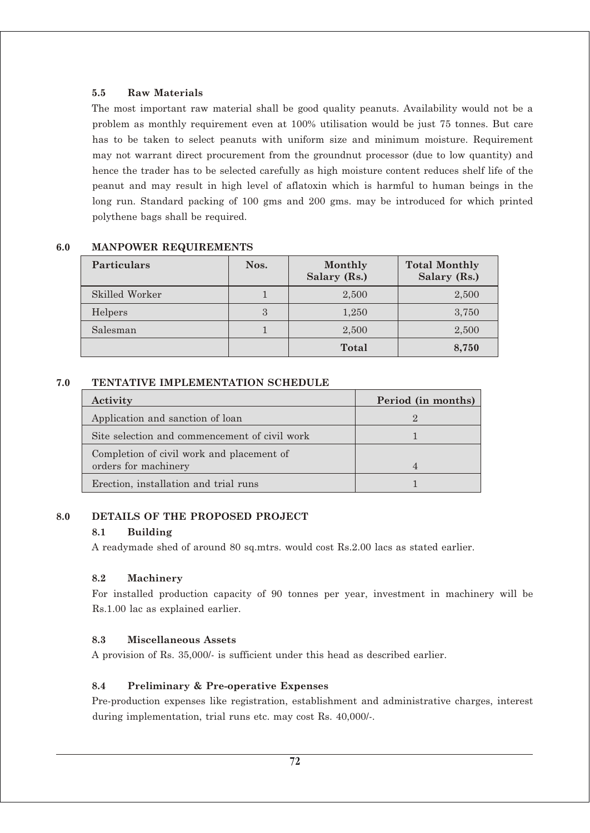#### **5.5 Raw Materials**

The most important raw material shall be good quality peanuts. Availability would not be a problem as monthly requirement even at 100% utilisation would be just 75 tonnes. But care has to be taken to select peanuts with uniform size and minimum moisture. Requirement may not warrant direct procurement from the groundnut processor (due to low quantity) and hence the trader has to be selected carefully as high moisture content reduces shelf life of the peanut and may result in high level of aflatoxin which is harmful to human beings in the long run. Standard packing of 100 gms and 200 gms. may be introduced for which printed polythene bags shall be required.

| <b>Particulars</b> | Nos. | Monthly<br>Salary (Rs.) | <b>Total Monthly</b><br>Salary (Rs.) |
|--------------------|------|-------------------------|--------------------------------------|
| Skilled Worker     |      | 2,500                   | 2,500                                |
| Helpers            | 3    | 1,250                   | 3,750                                |
| Salesman           |      | 2,500                   | 2,500                                |
|                    |      | Total                   | 8,750                                |

## **6.0 MANPOWER REQUIREMENTS**

#### **7.0 TENTATIVE IMPLEMENTATION SCHEDULE**

| Activity                                      | Period (in months) |
|-----------------------------------------------|--------------------|
| Application and sanction of loan              |                    |
| Site selection and commencement of civil work |                    |
| Completion of civil work and placement of     |                    |
| orders for machinery                          | 4                  |
| Erection, installation and trial runs         |                    |

## **8.0 DETAILS OF THE PROPOSED PROJECT**

#### **8.1 Building**

A readymade shed of around 80 sq.mtrs. would cost Rs.2.00 lacs as stated earlier.

#### **8.2 Machinery**

For installed production capacity of 90 tonnes per year, investment in machinery will be Rs.1.00 lac as explained earlier.

#### **8.3 Miscellaneous Assets**

A provision of Rs. 35,000/- is sufficient under this head as described earlier.

#### **8.4 Preliminary & Pre-operative Expenses**

Pre-production expenses like registration, establishment and administrative charges, interest during implementation, trial runs etc. may cost Rs. 40,000/-.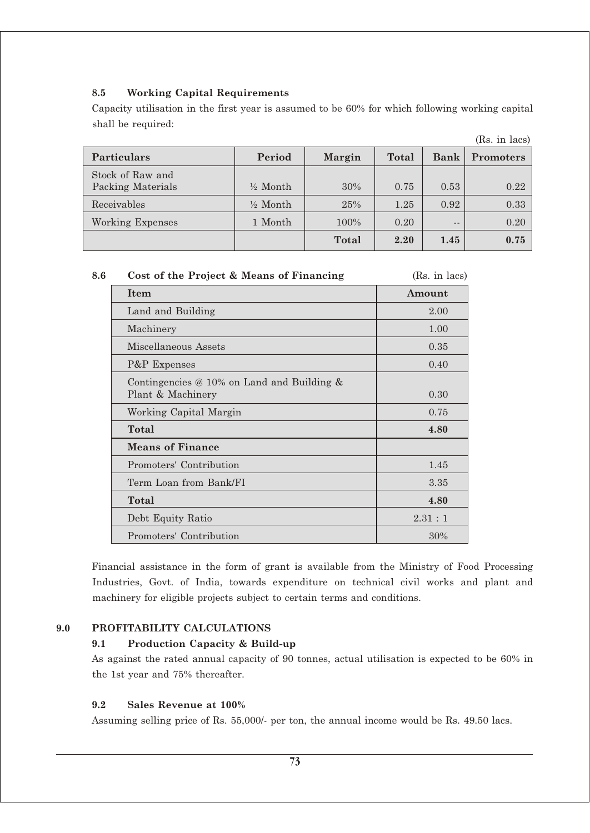## **8.5 Working Capital Requirements**

Capacity utilisation in the first year is assumed to be 60% for which following working capital shall be required:

|                                       |                     |        |       |             | (Rs. in lacs)    |
|---------------------------------------|---------------------|--------|-------|-------------|------------------|
| <b>Particulars</b>                    | Period              | Margin | Total | <b>Bank</b> | <b>Promoters</b> |
| Stock of Raw and<br>Packing Materials | $\frac{1}{2}$ Month | 30%    | 0.75  | 0.53        | 0.22             |
| Receivables                           | $\frac{1}{2}$ Month | 25%    | 1.25  | 0.92        | 0.33             |
| <b>Working Expenses</b>               | 1 Month             | 100%   | 0.20  | $- -$       | 0.20             |
|                                       |                     | Total  | 2.20  | 1.45        | 0.75             |

|  | - 8.6 | Cost of the Project & Means of Financing | (Rs. in lacs) |
|--|-------|------------------------------------------|---------------|
|--|-------|------------------------------------------|---------------|

| <b>Item</b>                                                                | Amount |
|----------------------------------------------------------------------------|--------|
| Land and Building                                                          | 2.00   |
| Machinery                                                                  | 1.00   |
| Miscellaneous Assets                                                       | 0.35   |
| P&P Expenses                                                               | 0.40   |
| Contingencies $\oslash$ 10% on Land and Building $\&$<br>Plant & Machinery | 0.30   |
| Working Capital Margin                                                     | 0.75   |
| Total                                                                      | 4.80   |
| <b>Means of Finance</b>                                                    |        |
| Promoters' Contribution                                                    | 1.45   |
| Term Loan from Bank/FI                                                     | 3.35   |
| Total                                                                      | 4.80   |
| Debt Equity Ratio                                                          | 2.31:1 |
| Promoters' Contribution                                                    | 30%    |

Financial assistance in the form of grant is available from the Ministry of Food Processing Industries, Govt. of India, towards expenditure on technical civil works and plant and machinery for eligible projects subject to certain terms and conditions.

## **9.0 PROFITABILITY CALCULATIONS**

## **9.1 Production Capacity & Build-up**

As against the rated annual capacity of 90 tonnes, actual utilisation is expected to be 60% in the 1st year and 75% thereafter.

## **9.2 Sales Revenue at 100%**

Assuming selling price of Rs. 55,000/- per ton, the annual income would be Rs. 49.50 lacs.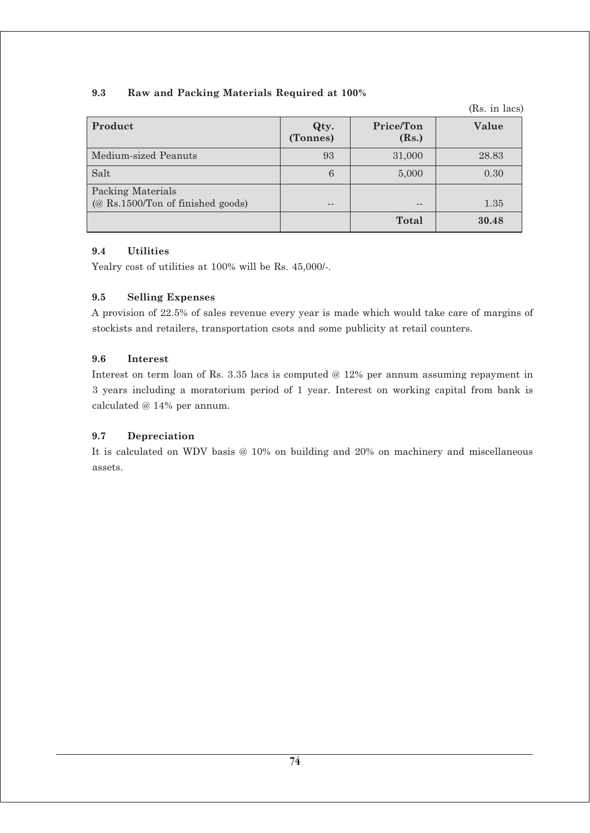## **9.3 Raw and Packing Materials Required at 100%**

(Rs. in lacs)

| Product                                                                | Qty.<br>(Tonnes) | Price/Ton<br>(Rs.) | Value |
|------------------------------------------------------------------------|------------------|--------------------|-------|
| Medium-sized Peanuts                                                   | 93               | 31,000             | 28.83 |
| Salt                                                                   | 6                | 5,000              | 0.30  |
| Packing Materials<br>$(\textcircled{a}$ Rs.1500/Ton of finished goods) |                  | $- -$              | 1.35  |
|                                                                        |                  | Total              | 30.48 |

## **9.4 Utilities**

Yealry cost of utilities at 100% will be Rs. 45,000/-.

## **9.5 Selling Expenses**

A provision of 22.5% of sales revenue every year is made which would take care of margins of stockists and retailers, transportation csots and some publicity at retail counters.

## **9.6 Interest**

Interest on term loan of Rs. 3.35 lacs is computed @ 12% per annum assuming repayment in 3 years including a moratorium period of 1 year. Interest on working capital from bank is calculated @ 14% per annum.

## **9.7 Depreciation**

It is calculated on WDV basis @ 10% on building and 20% on machinery and miscellaneous assets.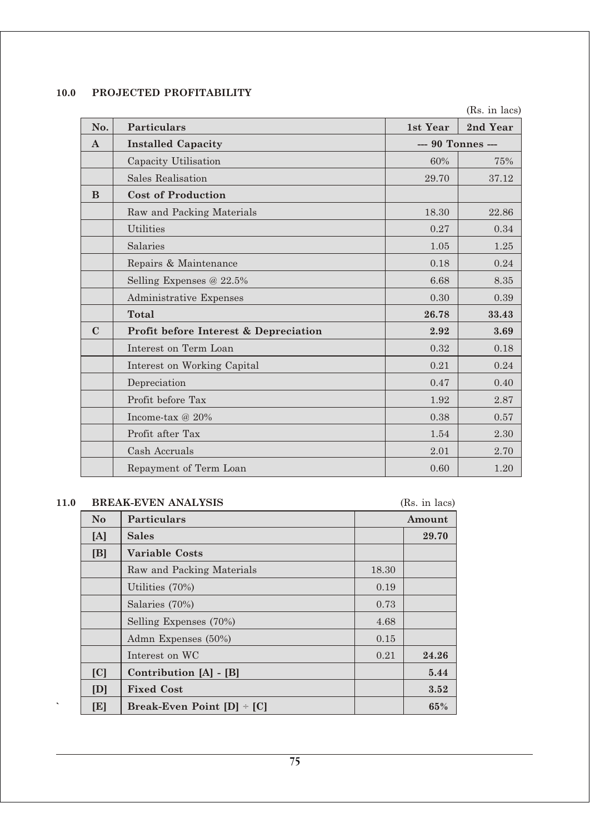## **10.0 PROJECTED PROFITABILITY**

(Rs. in lacs)

| No.          | <b>Particulars</b>                    | 1st Year          | 2nd Year |
|--------------|---------------------------------------|-------------------|----------|
| $\mathbf{A}$ | <b>Installed Capacity</b>             | --- 90 Tonnes --- |          |
|              | Capacity Utilisation                  | 60%               | 75%      |
|              | Sales Realisation                     | 29.70             | 37.12    |
| B            | <b>Cost of Production</b>             |                   |          |
|              | Raw and Packing Materials             | 18.30             | 22.86    |
|              | <b>Utilities</b>                      | 0.27              | 0.34     |
|              | Salaries                              | 1.05              | 1.25     |
|              | Repairs & Maintenance                 | 0.18              | 0.24     |
|              | Selling Expenses @ 22.5%              | 6.68              | 8.35     |
|              | Administrative Expenses               | 0.30              | 0.39     |
|              | <b>Total</b>                          | 26.78             | 33.43    |
| $\mathbf C$  | Profit before Interest & Depreciation | 2.92              | 3.69     |
|              | Interest on Term Loan                 | 0.32              | 0.18     |
|              | Interest on Working Capital           | 0.21              | 0.24     |
|              | Depreciation                          | 0.47              | 0.40     |
|              | Profit before Tax                     | 1.92              | 2.87     |
|              | Income-tax $@20\%$                    | 0.38              | 0.57     |
|              | Profit after Tax                      | 1.54              | 2.30     |
|              | Cash Accruals                         | 2.01              | 2.70     |
|              | Repayment of Term Loan                | 0.60              | 1.20     |

## **11.0 BREAK-EVEN ANALYSIS** (Rs. in lacs)

| $\bf No$ | Particulars                    |       | Amount |
|----------|--------------------------------|-------|--------|
| [A]      | <b>Sales</b>                   |       | 29.70  |
| [B]      | <b>Variable Costs</b>          |       |        |
|          | Raw and Packing Materials      | 18.30 |        |
|          | Utilities (70%)                | 0.19  |        |
|          | Salaries (70%)                 | 0.73  |        |
|          | Selling Expenses (70%)         | 4.68  |        |
|          | Admn Expenses (50%)            | 0.15  |        |
|          | Interest on WC                 | 0.21  | 24.26  |
| C        | Contribution [A] - [B]         |       | 5.44   |
| [D]      | <b>Fixed Cost</b>              |       | 3.52   |
| [E]      | Break-Even Point $[D]$ ÷ $[C]$ |       | 65%    |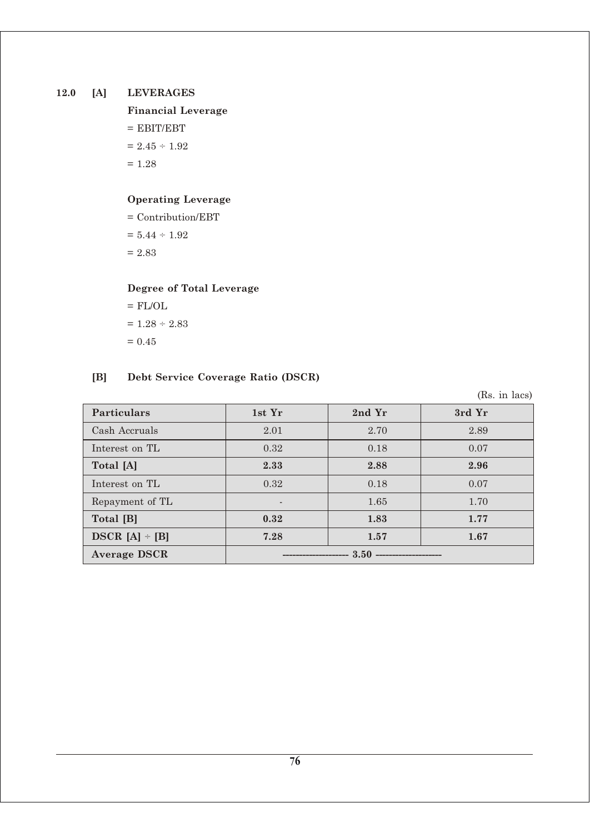## **12.0 [A] LEVERAGES**

## **Financial Leverage**  $=$  EBIT/EBT  $= 2.45 \div 1.92$  $= 1.28$

## **Operating Leverage**

= Contribution/EBT  $= 5.44 \div 1.92$  $= 2.83$ 

## **Degree of Total Leverage**

$$
= FL/OL
$$

$$
= 1.28 \div 2.83
$$

$$
= 0.45
$$

## **[B] Debt Service Coverage Ratio (DSCR)**

(Rs. in lacs)

| <b>Particulars</b>  | 1st Yr | 2nd Yr | 3rd Yr |
|---------------------|--------|--------|--------|
| Cash Accruals       | 2.01   | 2.70   | 2.89   |
| Interest on TL      | 0.32   | 0.18   | 0.07   |
| Total [A]           | 2.33   | 2.88   | 2.96   |
| Interest on TL      | 0.32   | 0.18   | 0.07   |
| Repayment of TL     |        | 1.65   | 1.70   |
| Total [B]           | 0.32   | 1.83   | 1.77   |
| $DSCR [A] \div [B]$ | 7.28   | 1.57   | 1.67   |
| <b>Average DSCR</b> | 3.50   |        |        |